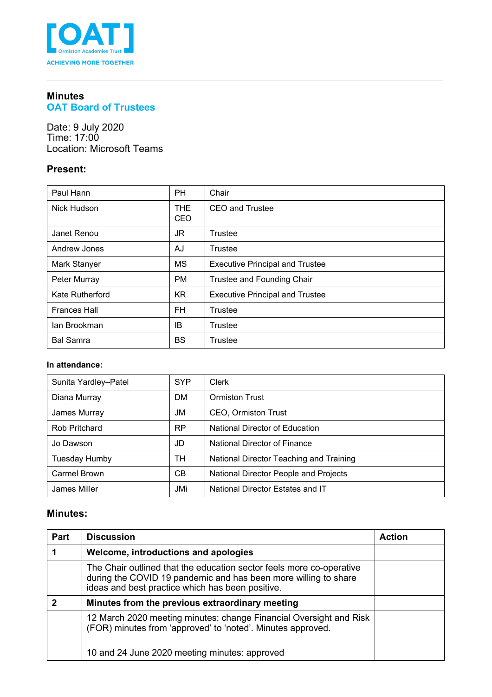

## **Minutes OAT Board of Trustees**

Date: 9 July 2020 Time: 17:00 Location: Microsoft Teams

## **Present:**

| Paul Hann           | <b>PH</b>   | Chair                                  |
|---------------------|-------------|----------------------------------------|
| <b>Nick Hudson</b>  | THE.<br>CEO | <b>CEO</b> and Trustee                 |
| Janet Renou         | JR.         | Trustee                                |
| Andrew Jones        | AJ          | Trustee                                |
| Mark Stanyer        | <b>MS</b>   | <b>Executive Principal and Trustee</b> |
| Peter Murray        | <b>PM</b>   | Trustee and Founding Chair             |
| Kate Rutherford     | <b>KR</b>   | <b>Executive Principal and Trustee</b> |
| <b>Frances Hall</b> | <b>FH</b>   | Trustee                                |
| lan Brookman        | IB          | Trustee                                |
| <b>Bal Samra</b>    | <b>BS</b>   | Trustee                                |

#### **In attendance:**

| Sunita Yardley-Patel | <b>SYP</b>     | Clerk                                   |
|----------------------|----------------|-----------------------------------------|
| Diana Murray         | DM.            | <b>Ormiston Trust</b>                   |
| James Murray         | JM             | CEO, Ormiston Trust                     |
| <b>Rob Pritchard</b> | <b>RP</b>      | National Director of Education          |
| Jo Dawson            | JD             | National Director of Finance            |
| Tuesday Humby        | TН             | National Director Teaching and Training |
| Carmel Brown         | C <sub>B</sub> | National Director People and Projects   |
| James Miller         | JMi            | National Director Estates and IT        |

## **Minutes:**

| Part | <b>Discussion</b>                                                                                                                                                                           | <b>Action</b> |
|------|---------------------------------------------------------------------------------------------------------------------------------------------------------------------------------------------|---------------|
|      | Welcome, introductions and apologies                                                                                                                                                        |               |
|      | The Chair outlined that the education sector feels more co-operative<br>during the COVID 19 pandemic and has been more willing to share<br>ideas and best practice which has been positive. |               |
| כי   | Minutes from the previous extraordinary meeting                                                                                                                                             |               |
|      | 12 March 2020 meeting minutes: change Financial Oversight and Risk<br>(FOR) minutes from 'approved' to 'noted'. Minutes approved.                                                           |               |
|      | 10 and 24 June 2020 meeting minutes: approved                                                                                                                                               |               |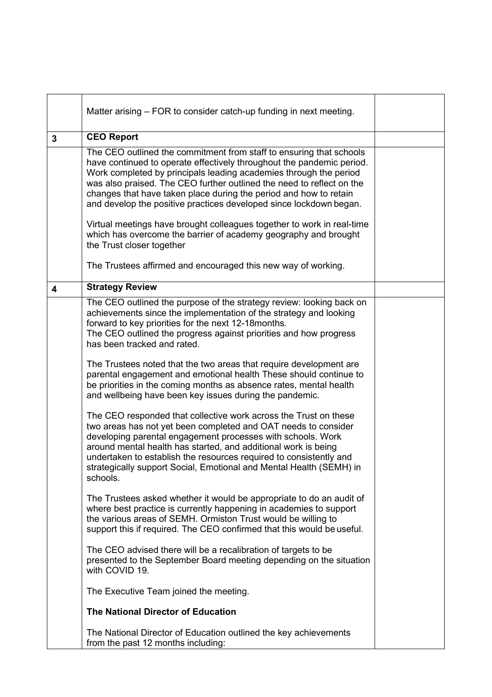|                         | Matter arising – FOR to consider catch-up funding in next meeting.                                                                                                                                                                                                                                                                                                                                                                    |  |  |
|-------------------------|---------------------------------------------------------------------------------------------------------------------------------------------------------------------------------------------------------------------------------------------------------------------------------------------------------------------------------------------------------------------------------------------------------------------------------------|--|--|
| $\mathbf{3}$            | <b>CEO Report</b>                                                                                                                                                                                                                                                                                                                                                                                                                     |  |  |
|                         | The CEO outlined the commitment from staff to ensuring that schools<br>have continued to operate effectively throughout the pandemic period.<br>Work completed by principals leading academies through the period<br>was also praised. The CEO further outlined the need to reflect on the<br>changes that have taken place during the period and how to retain<br>and develop the positive practices developed since lockdown began. |  |  |
|                         | Virtual meetings have brought colleagues together to work in real-time<br>which has overcome the barrier of academy geography and brought<br>the Trust closer together                                                                                                                                                                                                                                                                |  |  |
|                         | The Trustees affirmed and encouraged this new way of working.                                                                                                                                                                                                                                                                                                                                                                         |  |  |
| $\overline{\mathbf{4}}$ | <b>Strategy Review</b>                                                                                                                                                                                                                                                                                                                                                                                                                |  |  |
|                         | The CEO outlined the purpose of the strategy review: looking back on<br>achievements since the implementation of the strategy and looking<br>forward to key priorities for the next 12-18 months.<br>The CEO outlined the progress against priorities and how progress<br>has been tracked and rated.                                                                                                                                 |  |  |
|                         | The Trustees noted that the two areas that require development are<br>parental engagement and emotional health These should continue to<br>be priorities in the coming months as absence rates, mental health<br>and wellbeing have been key issues during the pandemic.                                                                                                                                                              |  |  |
|                         | The CEO responded that collective work across the Trust on these<br>two areas has not yet been completed and OAT needs to consider<br>developing parental engagement processes with schools. Work<br>around mental health has started, and additional work is being<br>undertaken to establish the resources required to consistently and<br>strategically support Social, Emotional and Mental Health (SEMH) in<br>schools.          |  |  |
|                         | The Trustees asked whether it would be appropriate to do an audit of<br>where best practice is currently happening in academies to support<br>the various areas of SEMH. Ormiston Trust would be willing to<br>support this if required. The CEO confirmed that this would be useful.                                                                                                                                                 |  |  |
|                         | The CEO advised there will be a recalibration of targets to be<br>presented to the September Board meeting depending on the situation<br>with COVID 19.                                                                                                                                                                                                                                                                               |  |  |
|                         | The Executive Team joined the meeting.                                                                                                                                                                                                                                                                                                                                                                                                |  |  |
|                         | <b>The National Director of Education</b>                                                                                                                                                                                                                                                                                                                                                                                             |  |  |
|                         | The National Director of Education outlined the key achievements<br>from the past 12 months including:                                                                                                                                                                                                                                                                                                                                |  |  |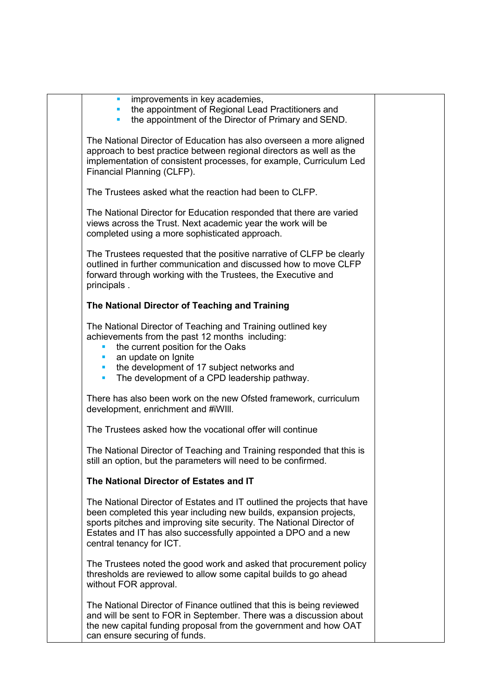| improvements in key academies,<br>$\mathcal{L}_{\mathcal{A}}$<br>the appointment of Regional Lead Practitioners and<br>the appointment of the Director of Primary and SEND.<br>×                                                                                                                                       |  |
|------------------------------------------------------------------------------------------------------------------------------------------------------------------------------------------------------------------------------------------------------------------------------------------------------------------------|--|
| The National Director of Education has also overseen a more aligned<br>approach to best practice between regional directors as well as the<br>implementation of consistent processes, for example, Curriculum Led<br>Financial Planning (CLFP).                                                                        |  |
| The Trustees asked what the reaction had been to CLFP.                                                                                                                                                                                                                                                                 |  |
| The National Director for Education responded that there are varied<br>views across the Trust. Next academic year the work will be<br>completed using a more sophisticated approach.                                                                                                                                   |  |
| The Trustees requested that the positive narrative of CLFP be clearly<br>outlined in further communication and discussed how to move CLFP<br>forward through working with the Trustees, the Executive and<br>principals.                                                                                               |  |
| The National Director of Teaching and Training                                                                                                                                                                                                                                                                         |  |
| The National Director of Teaching and Training outlined key<br>achievements from the past 12 months including:<br>the current position for the Oaks<br>ш<br>an update on Ignite<br>٠<br>the development of 17 subject networks and<br>$\blacksquare$<br>The development of a CPD leadership pathway.<br>$\blacksquare$ |  |
| There has also been work on the new Ofsted framework, curriculum<br>development, enrichment and #iWIII.                                                                                                                                                                                                                |  |
| The Trustees asked how the vocational offer will continue                                                                                                                                                                                                                                                              |  |
| The National Director of Teaching and Training responded that this is<br>still an option, but the parameters will need to be confirmed.                                                                                                                                                                                |  |
| The National Director of Estates and IT                                                                                                                                                                                                                                                                                |  |
| The National Director of Estates and IT outlined the projects that have<br>been completed this year including new builds, expansion projects,<br>sports pitches and improving site security. The National Director of<br>Estates and IT has also successfully appointed a DPO and a new<br>central tenancy for ICT.    |  |
| The Trustees noted the good work and asked that procurement policy<br>thresholds are reviewed to allow some capital builds to go ahead<br>without FOR approval.                                                                                                                                                        |  |
| The National Director of Finance outlined that this is being reviewed<br>and will be sent to FOR in September. There was a discussion about<br>the new capital funding proposal from the government and how OAT<br>can ensure securing of funds.                                                                       |  |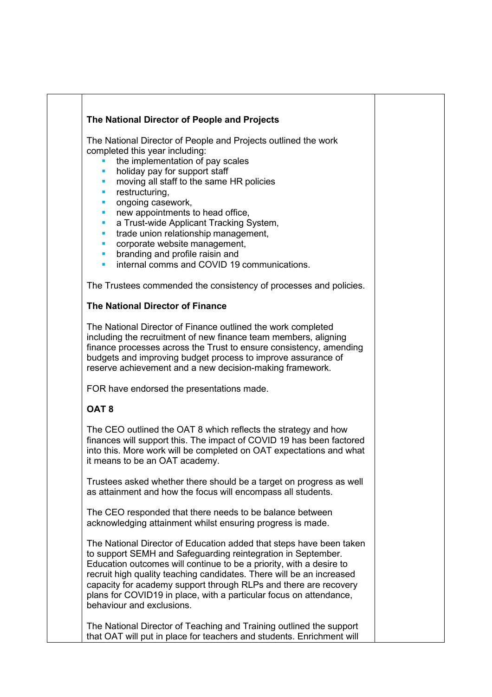## **The National Director of People and Projects**

The National Director of People and Projects outlined the work completed this year including:

- the implementation of pay scales
- holiday pay for support staff
- moving all staff to the same HR policies
- restructuring,
- ongoing casework,
- new appointments to head office,
- a Trust-wide Applicant Tracking System,
- **trade union relationship management,**
- corporate website management,
- branding and profile raisin and
- internal comms and COVID 19 communications.

The Trustees commended the consistency of processes and policies.

## **The National Director of Finance**

The National Director of Finance outlined the work completed including the recruitment of new finance team members, aligning finance processes across the Trust to ensure consistency, amending budgets and improving budget process to improve assurance of reserve achievement and a new decision-making framework.

FOR have endorsed the presentations made.

# **OAT 8**

The CEO outlined the OAT 8 which reflects the strategy and how finances will support this. The impact of COVID 19 has been factored into this. More work will be completed on OAT expectations and what it means to be an OAT academy.

Trustees asked whether there should be a target on progress as well as attainment and how the focus will encompass all students.

The CEO responded that there needs to be balance between acknowledging attainment whilst ensuring progress is made.

The National Director of Education added that steps have been taken to support SEMH and Safeguarding reintegration in September. Education outcomes will continue to be a priority, with a desire to recruit high quality teaching candidates. There will be an increased capacity for academy support through RLPs and there are recovery plans for COVID19 in place, with a particular focus on attendance, behaviour and exclusions.

The National Director of Teaching and Training outlined the support that OAT will put in place for teachers and students. Enrichment will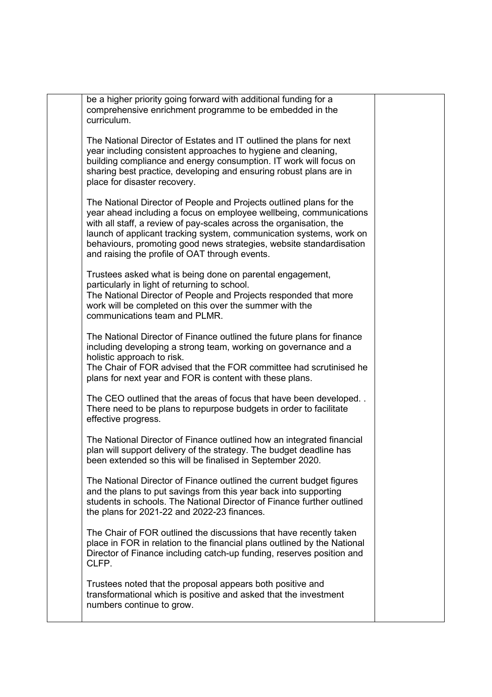be a higher priority going forward with additional funding for a comprehensive enrichment programme to be embedded in the curriculum.

The National Director of Estates and IT outlined the plans for next year including consistent approaches to hygiene and cleaning, building compliance and energy consumption. IT work will focus on sharing best practice, developing and ensuring robust plans are in place for disaster recovery.

The National Director of People and Projects outlined plans for the year ahead including a focus on employee wellbeing, communications with all staff, a review of pay-scales across the organisation. the launch of applicant tracking system, communication systems, work on behaviours, promoting good news strategies, website standardisation and raising the profile of OAT through events.

Trustees asked what is being done on parental engagement, particularly in light of returning to school. The National Director of People and Projects responded that more work will be completed on this over the summer with the communications team and PLMR.

The National Director of Finance outlined the future plans for finance including developing a strong team, working on governance and a holistic approach to risk.

The Chair of FOR advised that the FOR committee had scrutinised he plans for next year and FOR is content with these plans.

The CEO outlined that the areas of focus that have been developed. . There need to be plans to repurpose budgets in order to facilitate effective progress.

The National Director of Finance outlined how an integrated financial plan will support delivery of the strategy. The budget deadline has been extended so this will be finalised in September 2020.

The National Director of Finance outlined the current budget figures and the plans to put savings from this year back into supporting students in schools. The National Director of Finance further outlined the plans for 2021-22 and 2022-23 finances.

The Chair of FOR outlined the discussions that have recently taken place in FOR in relation to the financial plans outlined by the National Director of Finance including catch-up funding, reserves position and CLFP.

Trustees noted that the proposal appears both positive and transformational which is positive and asked that the investment numbers continue to grow.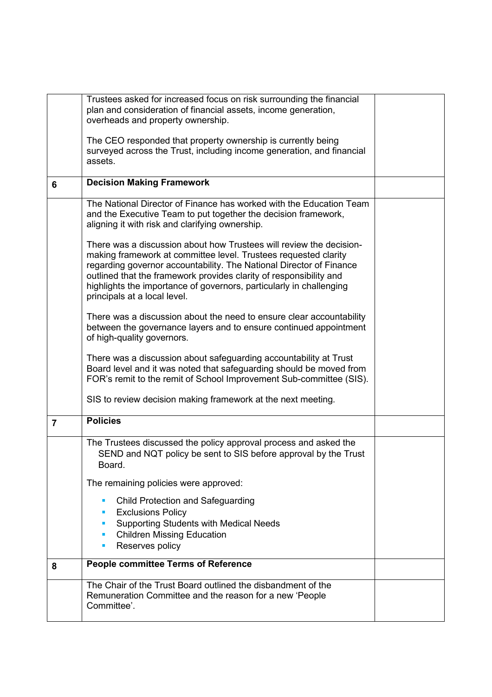|                | Trustees asked for increased focus on risk surrounding the financial<br>plan and consideration of financial assets, income generation,<br>overheads and property ownership.                                                                                                                                                                                                                |  |
|----------------|--------------------------------------------------------------------------------------------------------------------------------------------------------------------------------------------------------------------------------------------------------------------------------------------------------------------------------------------------------------------------------------------|--|
|                | The CEO responded that property ownership is currently being<br>surveyed across the Trust, including income generation, and financial<br>assets.                                                                                                                                                                                                                                           |  |
| 6              | <b>Decision Making Framework</b>                                                                                                                                                                                                                                                                                                                                                           |  |
|                | The National Director of Finance has worked with the Education Team<br>and the Executive Team to put together the decision framework,<br>aligning it with risk and clarifying ownership.                                                                                                                                                                                                   |  |
|                | There was a discussion about how Trustees will review the decision-<br>making framework at committee level. Trustees requested clarity<br>regarding governor accountability. The National Director of Finance<br>outlined that the framework provides clarity of responsibility and<br>highlights the importance of governors, particularly in challenging<br>principals at a local level. |  |
|                | There was a discussion about the need to ensure clear accountability<br>between the governance layers and to ensure continued appointment<br>of high-quality governors.                                                                                                                                                                                                                    |  |
|                | There was a discussion about safeguarding accountability at Trust<br>Board level and it was noted that safeguarding should be moved from<br>FOR's remit to the remit of School Improvement Sub-committee (SIS).                                                                                                                                                                            |  |
|                | SIS to review decision making framework at the next meeting.                                                                                                                                                                                                                                                                                                                               |  |
| $\overline{7}$ | <b>Policies</b>                                                                                                                                                                                                                                                                                                                                                                            |  |
|                | The Trustees discussed the policy approval process and asked the<br>SEND and NQT policy be sent to SIS before approval by the Trust<br>Board.                                                                                                                                                                                                                                              |  |
|                | The remaining policies were approved:                                                                                                                                                                                                                                                                                                                                                      |  |
|                | <b>Child Protection and Safeguarding</b><br>п<br>п                                                                                                                                                                                                                                                                                                                                         |  |
|                | <b>Exclusions Policy</b><br><b>Supporting Students with Medical Needs</b><br>п                                                                                                                                                                                                                                                                                                             |  |
|                | <b>Children Missing Education</b><br>$\blacksquare$<br>Reserves policy<br>п                                                                                                                                                                                                                                                                                                                |  |
| 8              | <b>People committee Terms of Reference</b>                                                                                                                                                                                                                                                                                                                                                 |  |
|                | The Chair of the Trust Board outlined the disbandment of the<br>Remuneration Committee and the reason for a new 'People<br>Committee'.                                                                                                                                                                                                                                                     |  |